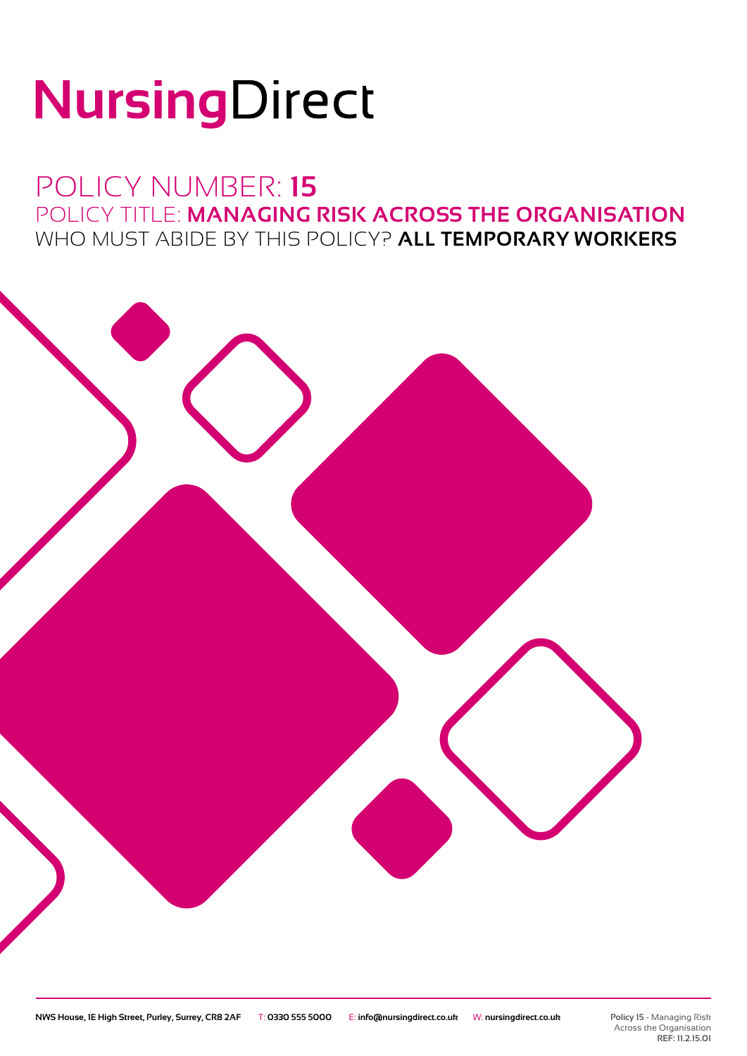# NursingDirect

### POLICY NUMBER: **15** POLICY TITLE: **MANAGING RISK ACROSS THE ORGANISATION** WHO MUST ABIDE BY THIS POLICY? **ALL TEMPORARY WORKERS**